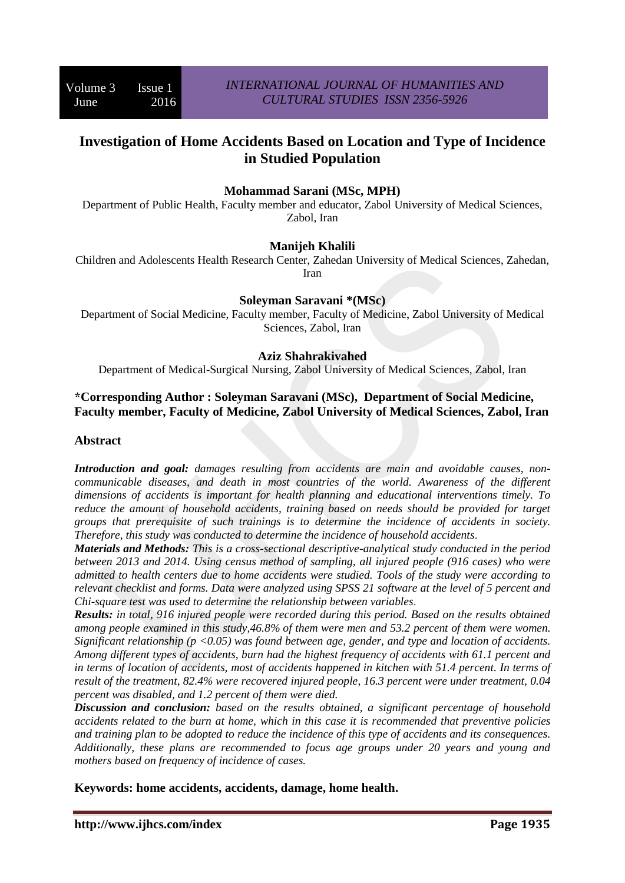# **Investigation of Home Accidents Based on Location and Type of Incidence in Studied Population**

### **Mohammad Sarani (MSc, MPH)**

Department of Public Health, Faculty member and educator, Zabol University of Medical Sciences, Zabol, Iran

#### **Manijeh Khalili**

Children and Adolescents Health Research Center, Zahedan University of Medical Sciences, Zahedan, Iran

#### **Soleyman Saravani \*(MSc)**

Department of Social Medicine, Faculty member, Faculty of Medicine, Zabol University of Medical Sciences, Zabol, Iran

#### **Aziz Shahrakivahed**

Department of Medical-Surgical Nursing, Zabol University of Medical Sciences, Zabol, Iran

#### **\*Corresponding Author : Soleyman Saravani (MSc), Department of Social Medicine, Faculty member, Faculty of Medicine, Zabol University of Medical Sciences, Zabol, Iran**

#### **Abstract**

*Introduction and goal: damages resulting from accidents are main and avoidable causes, noncommunicable diseases, and death in most countries of the world. Awareness of the different dimensions of accidents is important for health planning and educational interventions timely. To reduce the amount of household accidents, training based on needs should be provided for target groups that prerequisite of such trainings is to determine the incidence of accidents in society. Therefore, this study was conducted to determine the incidence of household accidents*.

*Materials and Methods: This is a cross-sectional descriptive-analytical study conducted in the period between 2013 and 2014. Using census method of sampling, all injured people (916 cases) who were admitted to health centers due to home accidents were studied. Tools of the study were according to relevant checklist and forms. Data were analyzed using SPSS 21 software at the level of 5 percent and Chi-square test was used to determine the relationship between variables*.

*Results: in total, 916 injured people were recorded during this period. Based on the results obtained among people examined in this study,46.8% of them were men and 53.2 percent of them were women. Significant relationship (p <0.05) was found between age, gender, and type and location of accidents. Among different types of accidents, burn had the highest frequency of accidents with 61.1 percent and in terms of location of accidents, most of accidents happened in kitchen with 51.4 percent. In terms of result of the treatment, 82.4% were recovered injured people, 16.3 percent were under treatment, 0.04 percent was disabled, and 1.2 percent of them were died.* 

*Discussion and conclusion: based on the results obtained, a significant percentage of household accidents related to the burn at home, which in this case it is recommended that preventive policies and training plan to be adopted to reduce the incidence of this type of accidents and its consequences. Additionally, these plans are recommended to focus age groups under 20 years and young and mothers based on frequency of incidence of cases.*

**Keywords: home accidents, accidents, damage, home health.**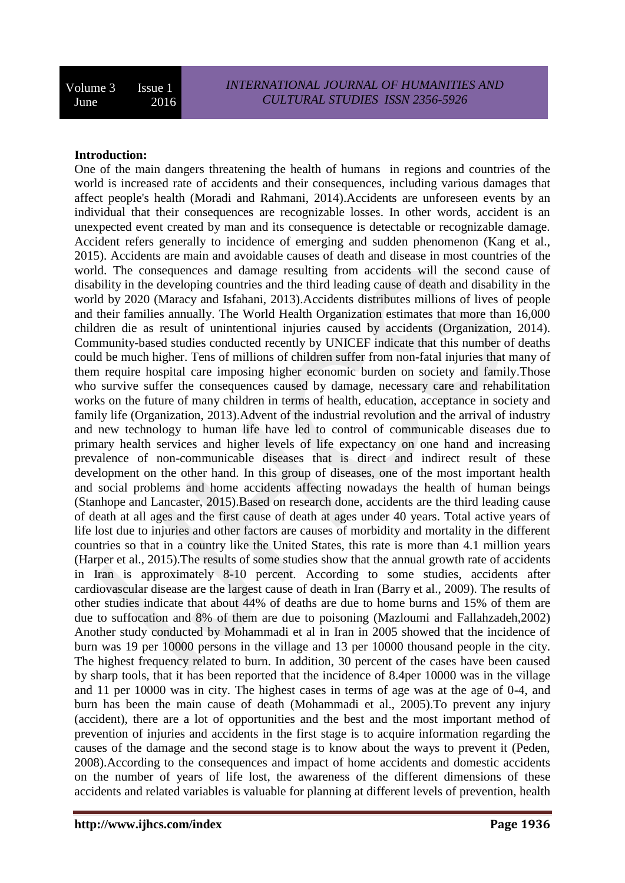### **Introduction:**

One of the main dangers threatening the health of humans in regions and countries of the world is increased rate of accidents and their consequences, including various damages that affect people's health (Moradi and Rahmani, 2014).Accidents are unforeseen events by an individual that their consequences are recognizable losses. In other words, accident is an unexpected event created by man and its consequence is detectable or recognizable damage. Accident refers generally to incidence of emerging and sudden phenomenon (Kang et al., 2015). Accidents are main and avoidable causes of death and disease in most countries of the world. The consequences and damage resulting from accidents will the second cause of disability in the developing countries and the third leading cause of death and disability in the world by 2020 (Maracy and Isfahani, 2013).Accidents distributes millions of lives of people and their families annually. The World Health Organization estimates that more than 16,000 children die as result of unintentional injuries caused by accidents (Organization, 2014). Community-based studies conducted recently by UNICEF indicate that this number of deaths could be much higher. Tens of millions of children suffer from non-fatal injuries that many of them require hospital care imposing higher economic burden on society and family.Those who survive suffer the consequences caused by damage, necessary care and rehabilitation works on the future of many children in terms of health, education, acceptance in society and family life (Organization, 2013).Advent of the industrial revolution and the arrival of industry and new technology to human life have led to control of communicable diseases due to primary health services and higher levels of life expectancy on one hand and increasing prevalence of non-communicable diseases that is direct and indirect result of these development on the other hand. In this group of diseases, one of the most important health and social problems and home accidents affecting nowadays the health of human beings (Stanhope and Lancaster, 2015).Based on research done, accidents are the third leading cause of death at all ages and the first cause of death at ages under 40 years. Total active years of life lost due to injuries and other factors are causes of morbidity and mortality in the different countries so that in a country like the United States, this rate is more than 4.1 million years (Harper et al., 2015).The results of some studies show that the annual growth rate of accidents in Iran is approximately 8-10 percent. According to some studies, accidents after cardiovascular disease are the largest cause of death in Iran (Barry et al., 2009). The results of other studies indicate that about 44% of deaths are due to home burns and 15% of them are due to suffocation and 8% of them are due to poisoning (Mazloumi and Fallahzadeh,2002) Another study conducted by Mohammadi et al in Iran in 2005 showed that the incidence of burn was 19 per 10000 persons in the village and 13 per 10000 thousand people in the city. The highest frequency related to burn. In addition, 30 percent of the cases have been caused by sharp tools, that it has been reported that the incidence of 8.4per 10000 was in the village and 11 per 10000 was in city. The highest cases in terms of age was at the age of 0-4, and burn has been the main cause of death (Mohammadi et al., 2005).To prevent any injury (accident), there are a lot of opportunities and the best and the most important method of prevention of injuries and accidents in the first stage is to acquire information regarding the causes of the damage and the second stage is to know about the ways to prevent it (Peden, 2008).According to the consequences and impact of home accidents and domestic accidents on the number of years of life lost, the awareness of the different dimensions of these accidents and related variables is valuable for planning at different levels of prevention, health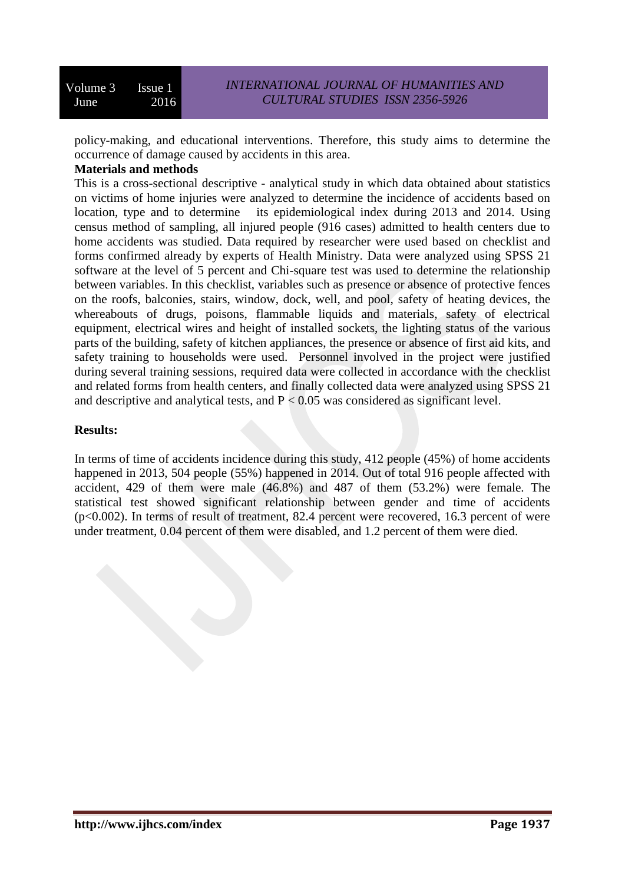policy-making, and educational interventions. Therefore, this study aims to determine the occurrence of damage caused by accidents in this area.

### **Materials and methods**

This is a cross-sectional descriptive - analytical study in which data obtained about statistics on victims of home injuries were analyzed to determine the incidence of accidents based on location, type and to determine its epidemiological index during 2013 and 2014. Using census method of sampling, all injured people (916 cases) admitted to health centers due to home accidents was studied. Data required by researcher were used based on checklist and forms confirmed already by experts of Health Ministry. Data were analyzed using SPSS 21 software at the level of 5 percent and Chi-square test was used to determine the relationship between variables. In this checklist, variables such as presence or absence of protective fences on the roofs, balconies, stairs, window, dock, well, and pool, safety of heating devices, the whereabouts of drugs, poisons, flammable liquids and materials, safety of electrical equipment, electrical wires and height of installed sockets, the lighting status of the various parts of the building, safety of kitchen appliances, the presence or absence of first aid kits, and safety training to households were used. Personnel involved in the project were justified during several training sessions, required data were collected in accordance with the checklist and related forms from health centers, and finally collected data were analyzed using SPSS 21 and descriptive and analytical tests, and  $P < 0.05$  was considered as significant level.

# **Results:**

In terms of time of accidents incidence during this study, 412 people (45%) of home accidents happened in 2013, 504 people (55%) happened in 2014. Out of total 916 people affected with accident, 429 of them were male (46.8%) and 487 of them (53.2%) were female. The statistical test showed significant relationship between gender and time of accidents (p<0.002). In terms of result of treatment, 82.4 percent were recovered, 16.3 percent of were under treatment, 0.04 percent of them were disabled, and 1.2 percent of them were died.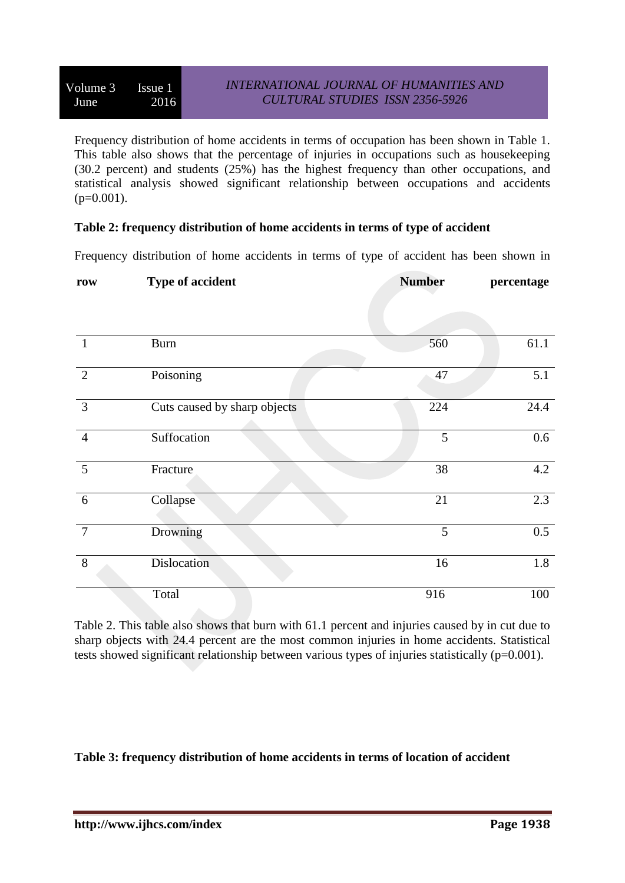Frequency distribution of home accidents in terms of occupation has been shown in Table 1. This table also shows that the percentage of injuries in occupations such as housekeeping (30.2 percent) and students (25%) has the highest frequency than other occupations, and statistical analysis showed significant relationship between occupations and accidents  $(p=0.001)$ .

### **Table 2: frequency distribution of home accidents in terms of type of accident**

Frequency distribution of home accidents in terms of type of accident has been shown in

| row             | Type of accident             | <b>Number</b> | percentage |
|-----------------|------------------------------|---------------|------------|
|                 |                              |               |            |
|                 |                              |               |            |
| $\mathbf{1}$    | <b>Burn</b>                  | 560           | 61.1       |
| 2               | Poisoning                    | 47            | 5.1        |
| $\overline{3}$  | Cuts caused by sharp objects | 224           | 24.4       |
| $\overline{4}$  | Suffocation                  | 5             | $0.6\,$    |
| $5\overline{)}$ | Fracture                     | 38            | 4.2        |
| 6               | Collapse                     | 21            | 2.3        |
| $7\phantom{.0}$ | Drowning                     | 5             | 0.5        |
| 8               | <b>Dislocation</b>           | 16            | 1.8        |
|                 | Total                        | 916           | 100        |

Table 2. This table also shows that burn with 61.1 percent and injuries caused by in cut due to sharp objects with 24.4 percent are the most common injuries in home accidents. Statistical tests showed significant relationship between various types of injuries statistically ( $p=0.001$ ).

**Table 3: frequency distribution of home accidents in terms of location of accident**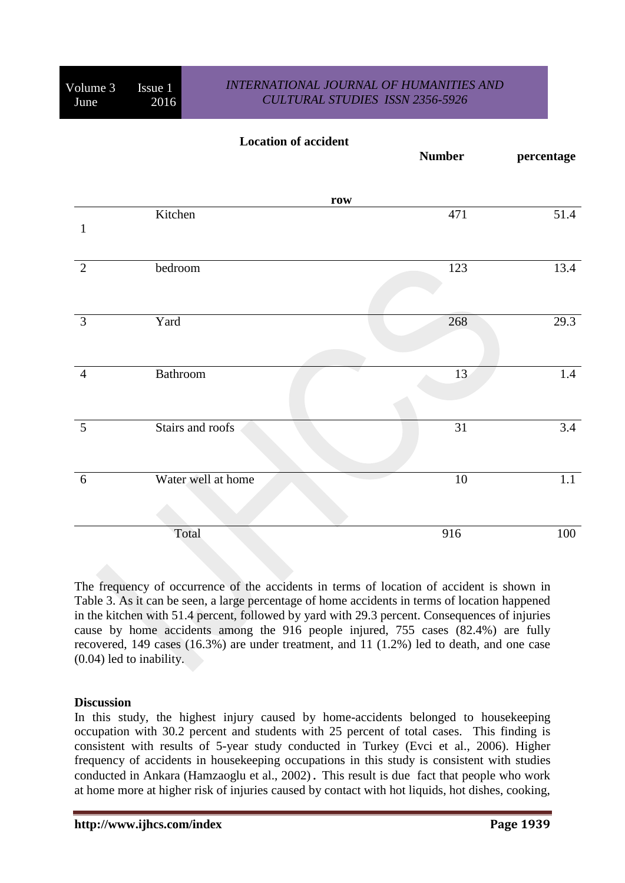# *INTERNATIONAL JOURNAL OF HUMANITIES AND CULTURAL STUDIES ISSN 2356-5926*

|                 | <b>Location of accident</b> | <b>Number</b> | percentage       |
|-----------------|-----------------------------|---------------|------------------|
|                 | row                         |               |                  |
| $\mathbf{1}$    | Kitchen                     | 471           | 51.4             |
| 2               | bedroom                     | 123           | 13.4             |
| $\overline{3}$  | Yard                        | 268           | 29.3             |
| $\overline{4}$  | Bathroom                    | 13            | 1.4              |
| $5\overline{)}$ | Stairs and roofs            | 31            | $\overline{3.4}$ |
| 6               | Water well at home          | $10\,$        | 1.1              |
|                 | Total                       | 916           | 100              |

The frequency of occurrence of the accidents in terms of location of accident is shown in Table 3. As it can be seen, a large percentage of home accidents in terms of location happened in the kitchen with 51.4 percent, followed by yard with 29.3 percent. Consequences of injuries cause by home accidents among the 916 people injured, 755 cases (82.4%) are fully recovered, 149 cases (16.3%) are under treatment, and 11 (1.2%) led to death, and one case (0.04) led to inability.

#### **Discussion**

In this study, the highest injury caused by home-accidents belonged to housekeeping occupation with 30.2 percent and students with 25 percent of total cases. This finding is consistent with results of 5-year study conducted in Turkey (Evci et al., 2006). Higher frequency of accidents in housekeeping occupations in this study is consistent with studies conducted in Ankara (Hamzaoglu et al., 2002). This result is due fact that people who work at home more at higher risk of injuries caused by contact with hot liquids, hot dishes, cooking,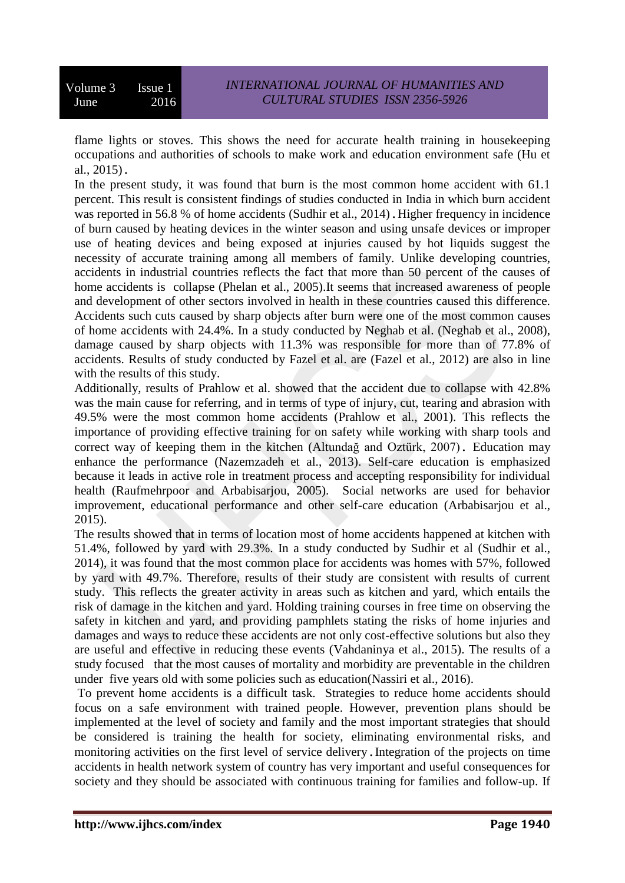flame lights or stoves. This shows the need for accurate health training in housekeeping occupations and authorities of schools to make work and education environment safe (Hu et al., 2015).

In the present study, it was found that burn is the most common home accident with 61.1 percent. This result is consistent findings of studies conducted in India in which burn accident was reported in 56.8 % of home accidents (Sudhir et al., 2014). Higher frequency in incidence of burn caused by heating devices in the winter season and using unsafe devices or improper use of heating devices and being exposed at injuries caused by hot liquids suggest the necessity of accurate training among all members of family. Unlike developing countries, accidents in industrial countries reflects the fact that more than 50 percent of the causes of home accidents is collapse (Phelan et al., 2005).It seems that increased awareness of people and development of other sectors involved in health in these countries caused this difference. Accidents such cuts caused by sharp objects after burn were one of the most common causes of home accidents with 24.4%. In a study conducted by Neghab et al. (Neghab et al., 2008), damage caused by sharp objects with 11.3% was responsible for more than of 77.8% of accidents. Results of study conducted by Fazel et al. are (Fazel et al., 2012) are also in line with the results of this study.

Additionally, results of Prahlow et al. showed that the accident due to collapse with 42.8% was the main cause for referring, and in terms of type of injury, cut, tearing and abrasion with 49.5% were the most common home accidents (Prahlow et al., 2001). This reflects the importance of providing effective training for on safety while working with sharp tools and correct way of keeping them in the kitchen (Altundağ and Oztürk, 2007). Education may enhance the performance (Nazemzadeh et al., 2013). Self-care education is emphasized because it leads in active role in treatment process and accepting responsibility for individual health (Raufmehrpoor and Arbabisarjou, 2005). Social networks are used for behavior improvement, educational performance and other self-care education (Arbabisarjou et al., 2015).

The results showed that in terms of location most of home accidents happened at kitchen with 51.4%, followed by yard with 29.3%. In a study conducted by Sudhir et al (Sudhir et al., 2014), it was found that the most common place for accidents was homes with 57%, followed by yard with 49.7%. Therefore, results of their study are consistent with results of current study. This reflects the greater activity in areas such as kitchen and yard, which entails the risk of damage in the kitchen and yard. Holding training courses in free time on observing the safety in kitchen and yard, and providing pamphlets stating the risks of home injuries and damages and ways to reduce these accidents are not only cost-effective solutions but also they are useful and effective in reducing these events [\(Vahdaninya et al., 2015\)](#page-8-0). The results of a study focused that the most causes of mortality and morbidity are preventable in the children under five years old with some policies such as education(Nassiri et al., 2016).

To prevent home accidents is a difficult task. Strategies to reduce home accidents should focus on a safe environment with trained people. However, prevention plans should be implemented at the level of society and family and the most important strategies that should be considered is training the health for society, eliminating environmental risks, and monitoring activities on the first level of service delivery.Integration of the projects on time accidents in health network system of country has very important and useful consequences for society and they should be associated with continuous training for families and follow-up. If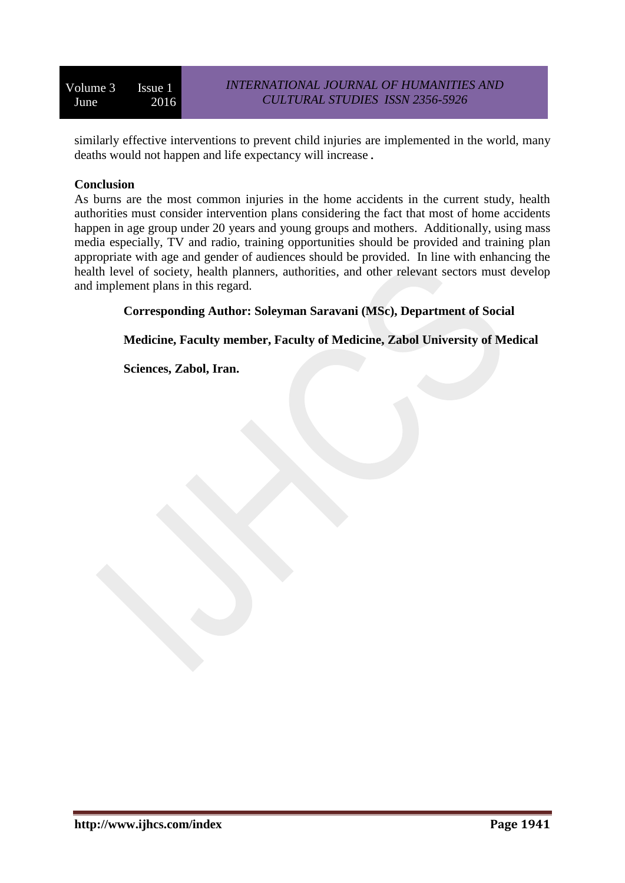similarly effective interventions to prevent child injuries are implemented in the world, many deaths would not happen and life expectancy will increase.

### **Conclusion**

As burns are the most common injuries in the home accidents in the current study, health authorities must consider intervention plans considering the fact that most of home accidents happen in age group under 20 years and young groups and mothers. Additionally, using mass media especially, TV and radio, training opportunities should be provided and training plan appropriate with age and gender of audiences should be provided. In line with enhancing the health level of society, health planners, authorities, and other relevant sectors must develop and implement plans in this regard.

# **Corresponding Author: Soleyman Saravani (MSc), Department of Social**

**Medicine, Faculty member, Faculty of Medicine, Zabol University of Medical** 

**Sciences, Zabol, Iran.**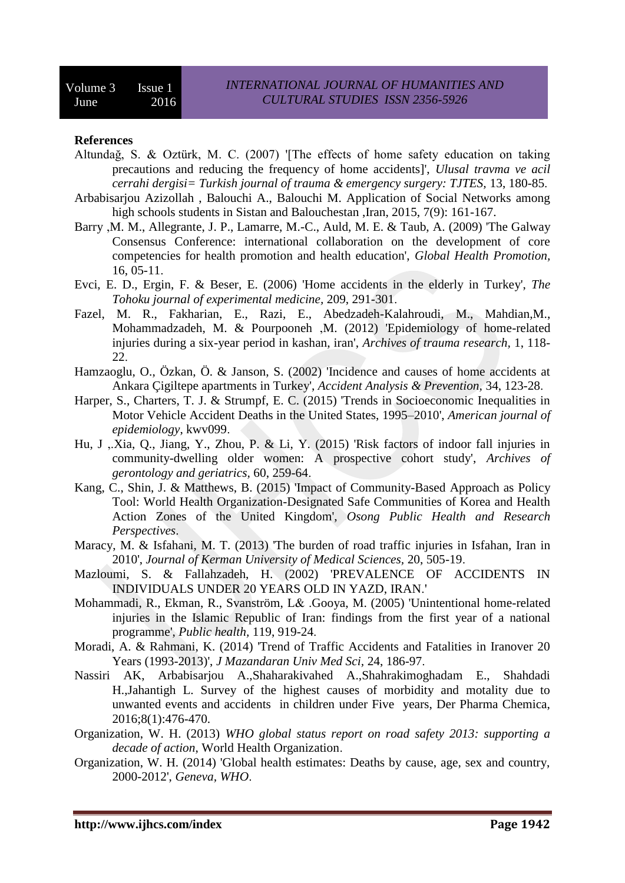#### **References**

- Altundağ, S. & Oztürk, M. C. (2007) '[The effects of home safety education on taking precautions and reducing the frequency of home accidents]', *Ulusal travma ve acil cerrahi dergisi= Turkish journal of trauma & emergency surgery: TJTES,* 13, 180-85.
- Arbabisarjou Azizollah , Balouchi A., Balouchi M. Application of Social Networks among high schools students in Sistan and Balouchestan ,Iran, 2015, 7(9): 161-167.
- Barry ,M. M., Allegrante, J. P., Lamarre, M.-C., Auld, M. E. & Taub, A. (2009) 'The Galway Consensus Conference: international collaboration on the development of core competencies for health promotion and health education', *Global Health Promotion,* 16, 05-11.
- Evci, E. D., Ergin, F. & Beser, E. (2006) 'Home accidents in the elderly in Turkey', *The Tohoku journal of experimental medicine,* 209, 291-301.
- Fazel, M. R., Fakharian, E., Razi, E., Abedzadeh-Kalahroudi, M., Mahdian,M., Mohammadzadeh, M. & Pourpooneh ,M. (2012) 'Epidemiology of home-related injuries during a six-year period in kashan, iran', *Archives of trauma research,* 1, 118- 22.
- Hamzaoglu, O., Özkan, Ö. & Janson, S. (2002) 'Incidence and causes of home accidents at Ankara Çigiltepe apartments in Turkey', *Accident Analysis & Prevention,* 34, 123-28.
- Harper, S., Charters, T. J. & Strumpf, E. C. (2015) 'Trends in Socioeconomic Inequalities in Motor Vehicle Accident Deaths in the United States, 1995–2010', *American journal of epidemiology*, kwv099.
- Hu, J ,.Xia, Q., Jiang, Y., Zhou, P. & Li, Y. (2015) 'Risk factors of indoor fall injuries in community-dwelling older women: A prospective cohort study', *Archives of gerontology and geriatrics,* 60, 259-64.
- Kang, C., Shin, J. & Matthews, B. (2015) 'Impact of Community-Based Approach as Policy Tool: World Health Organization-Designated Safe Communities of Korea and Health Action Zones of the United Kingdom', *Osong Public Health and Research Perspectives*.
- Maracy, M. & Isfahani, M. T. (2013) 'The burden of road traffic injuries in Isfahan, Iran in 2010', *Journal of Kerman University of Medical Sciences,* 20, 505-19.
- Mazloumi, S. & Fallahzadeh, H. (2002) 'PREVALENCE OF ACCIDENTS IN INDIVIDUALS UNDER 20 YEARS OLD IN YAZD, IRAN.'
- Mohammadi, R., Ekman, R., Svanström, L& .Gooya, M. (2005) 'Unintentional home-related injuries in the Islamic Republic of Iran: findings from the first year of a national programme', *Public health,* 119, 919-24.
- Moradi, A. & Rahmani, K. (2014) 'Trend of Traffic Accidents and Fatalities in Iranover 20 Years (1993-2013)', *J Mazandaran Univ Med Sci,* 24, 186-97.
- Nassiri AK, Arbabisarjou A.,Shaharakivahed A.,Shahrakimoghadam E., Shahdadi H.,Jahantigh L. Survey of the highest causes of morbidity and motality due to unwanted events and accidents in children under Five years, Der Pharma Chemica, 2016;8(1):476-470.
- Organization, W. H. (2013) *WHO global status report on road safety 2013: supporting a decade of action*, World Health Organization.
- Organization, W. H. (2014) 'Global health estimates: Deaths by cause, age, sex and country, 2000-2012', *Geneva, WHO*.